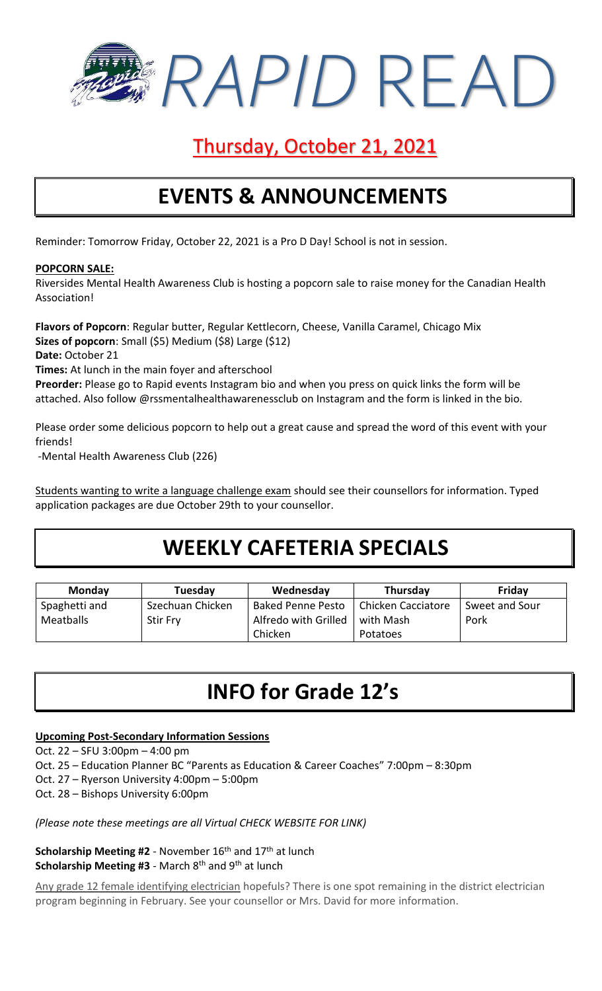*RAPID* READ

# Thursday, October 21, 2021

# **EVENTS & ANNOUNCEMENTS**

Reminder: Tomorrow Friday, October 22, 2021 is a Pro D Day! School is not in session.

#### **POPCORN SALE:**

Riversides Mental Health Awareness Club is hosting a popcorn sale to raise money for the Canadian Health Association!

**Flavors of Popcorn**: Regular butter, Regular Kettlecorn, Cheese, Vanilla Caramel, Chicago Mix **Sizes of popcorn**: Small (\$5) Medium (\$8) Large (\$12) **Date:** October 21

**Times:** At lunch in the main foyer and afterschool

**Preorder:** Please go to Rapid events Instagram bio and when you press on quick links the form will be attached. Also follow @rssmentalhealthawarenessclub on Instagram and the form is linked in the bio.

Please order some delicious popcorn to help out a great cause and spread the word of this event with your friends!

-Mental Health Awareness Club (226)

Students wanting to write a language challenge exam should see their counsellors for information. Typed application packages are due October 29th to your counsellor.

### **WEEKLY CAFETERIA SPECIALS**

| <b>Monday</b> | Tuesday          | Wednesday                | Thursday           | Friday         |
|---------------|------------------|--------------------------|--------------------|----------------|
| Spaghetti and | Szechuan Chicken | <b>Baked Penne Pesto</b> | Chicken Cacciatore | Sweet and Sour |
| Meatballs     | <b>Stir Fry</b>  | Alfredo with Grilled     | with Mash          | Pork           |
|               |                  | Chicken                  | Potatoes           |                |

## **INFO for Grade 12's**

### **Upcoming Post-Secondary Information Sessions**

Oct. 22 – SFU 3:00pm – 4:00 pm

Oct. 25 – Education Planner BC "Parents as Education & Career Coaches" 7:00pm – 8:30pm

- Oct. 27 Ryerson University 4:00pm 5:00pm
- Oct. 28 Bishops University 6:00pm

*(Please note these meetings are all Virtual CHECK WEBSITE FOR LINK)*

**Scholarship Meeting #2** - November 16<sup>th</sup> and 17<sup>th</sup> at lunch Scholarship Meeting #3 - March 8<sup>th</sup> and 9<sup>th</sup> at lunch

Any grade 12 female identifying electrician hopefuls? There is one spot remaining in the district electrician program beginning in February. See your counsellor or Mrs. David for more information.